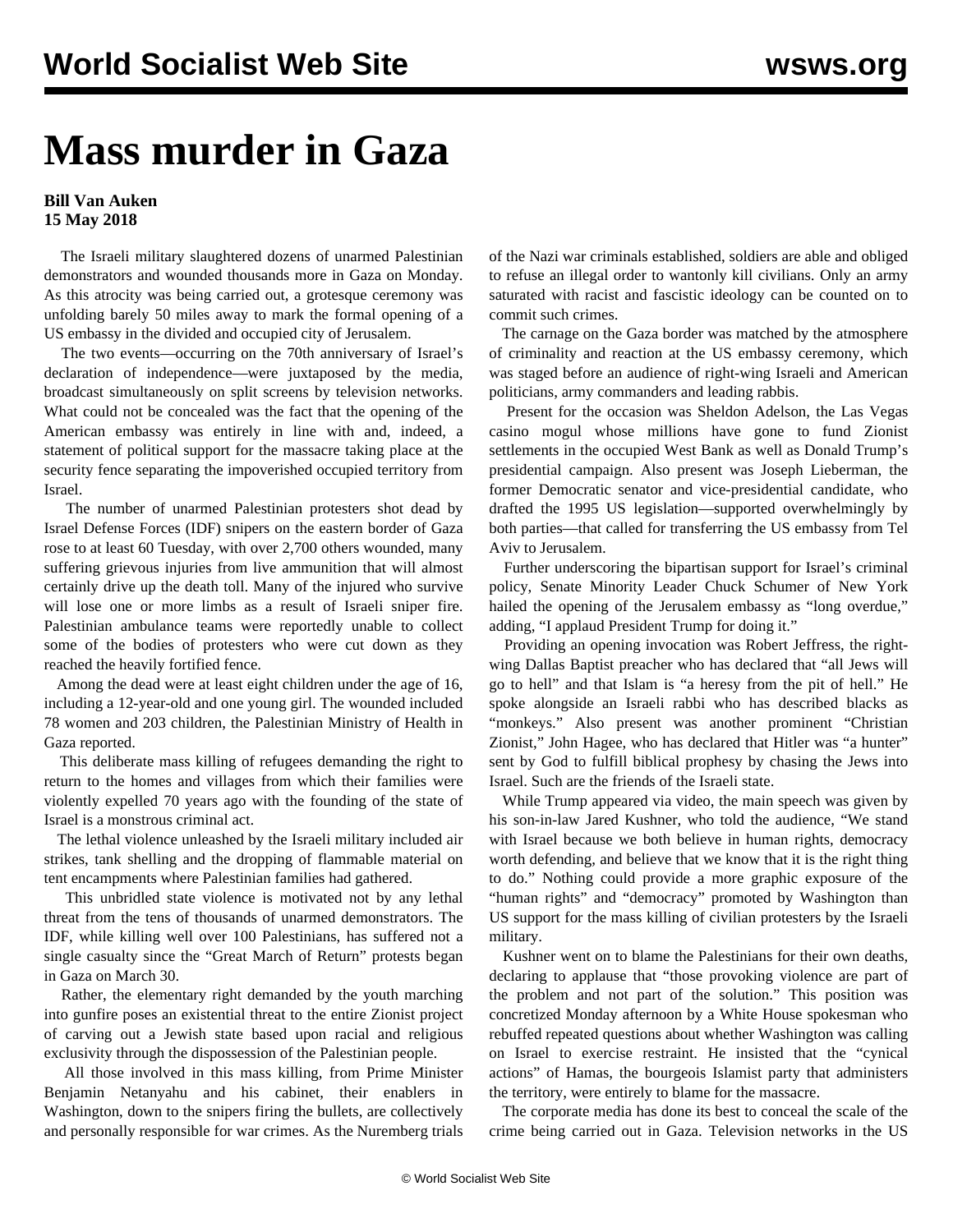## **Mass murder in Gaza**

## **Bill Van Auken 15 May 2018**

 The Israeli military slaughtered dozens of unarmed Palestinian demonstrators and wounded thousands more in Gaza on Monday. As this atrocity was being carried out, a grotesque ceremony was unfolding barely 50 miles away to mark the formal opening of a US embassy in the divided and occupied city of Jerusalem.

 The two events—occurring on the 70th anniversary of Israel's declaration of independence—were juxtaposed by the media, broadcast simultaneously on split screens by television networks. What could not be concealed was the fact that the opening of the American embassy was entirely in line with and, indeed, a statement of political support for the massacre taking place at the security fence separating the impoverished occupied territory from Israel.

 The number of unarmed Palestinian protesters shot dead by Israel Defense Forces (IDF) snipers on the eastern border of Gaza rose to at least 60 Tuesday, with over 2,700 others wounded, many suffering grievous injuries from live ammunition that will almost certainly drive up the death toll. Many of the injured who survive will lose one or more limbs as a result of Israeli sniper fire. Palestinian ambulance teams were reportedly unable to collect some of the bodies of protesters who were cut down as they reached the heavily fortified fence.

 Among the dead were at least eight children under the age of 16, including a 12-year-old and one young girl. The wounded included 78 women and 203 children, the Palestinian Ministry of Health in Gaza reported.

 This deliberate mass killing of refugees demanding the right to return to the homes and villages from which their families were violently expelled 70 years ago with the founding of the state of Israel is a monstrous criminal act.

 The lethal violence unleashed by the Israeli military included air strikes, tank shelling and the dropping of flammable material on tent encampments where Palestinian families had gathered.

 This unbridled state violence is motivated not by any lethal threat from the tens of thousands of unarmed demonstrators. The IDF, while killing well over 100 Palestinians, has suffered not a single casualty since the "Great March of Return" protests began in Gaza on March 30.

 Rather, the elementary right demanded by the youth marching into gunfire poses an existential threat to the entire Zionist project of carving out a Jewish state based upon racial and religious exclusivity through the dispossession of the Palestinian people.

 All those involved in this mass killing, from Prime Minister Benjamin Netanyahu and his cabinet, their enablers in Washington, down to the snipers firing the bullets, are collectively and personally responsible for war crimes. As the Nuremberg trials

of the Nazi war criminals established, soldiers are able and obliged to refuse an illegal order to wantonly kill civilians. Only an army saturated with racist and fascistic ideology can be counted on to commit such crimes.

 The carnage on the Gaza border was matched by the atmosphere of criminality and reaction at the US embassy ceremony, which was staged before an audience of right-wing Israeli and American politicians, army commanders and leading rabbis.

 Present for the occasion was Sheldon Adelson, the Las Vegas casino mogul whose millions have gone to fund Zionist settlements in the occupied West Bank as well as Donald Trump's presidential campaign. Also present was Joseph Lieberman, the former Democratic senator and vice-presidential candidate, who drafted the 1995 US legislation—supported overwhelmingly by both parties—that called for transferring the US embassy from Tel Aviv to Jerusalem.

 Further underscoring the bipartisan support for Israel's criminal policy, Senate Minority Leader Chuck Schumer of New York hailed the opening of the Jerusalem embassy as "long overdue," adding, "I applaud President Trump for doing it."

 Providing an opening invocation was Robert Jeffress, the rightwing Dallas Baptist preacher who has declared that "all Jews will go to hell" and that Islam is "a heresy from the pit of hell." He spoke alongside an Israeli rabbi who has described blacks as "monkeys." Also present was another prominent "Christian Zionist," John Hagee, who has declared that Hitler was "a hunter" sent by God to fulfill biblical prophesy by chasing the Jews into Israel. Such are the friends of the Israeli state.

 While Trump appeared via video, the main speech was given by his son-in-law Jared Kushner, who told the audience, "We stand with Israel because we both believe in human rights, democracy worth defending, and believe that we know that it is the right thing to do." Nothing could provide a more graphic exposure of the "human rights" and "democracy" promoted by Washington than US support for the mass killing of civilian protesters by the Israeli military.

 Kushner went on to blame the Palestinians for their own deaths, declaring to applause that "those provoking violence are part of the problem and not part of the solution." This position was concretized Monday afternoon by a White House spokesman who rebuffed repeated questions about whether Washington was calling on Israel to exercise restraint. He insisted that the "cynical actions" of Hamas, the bourgeois Islamist party that administers the territory, were entirely to blame for the massacre.

 The corporate media has done its best to conceal the scale of the crime being carried out in Gaza. Television networks in the US